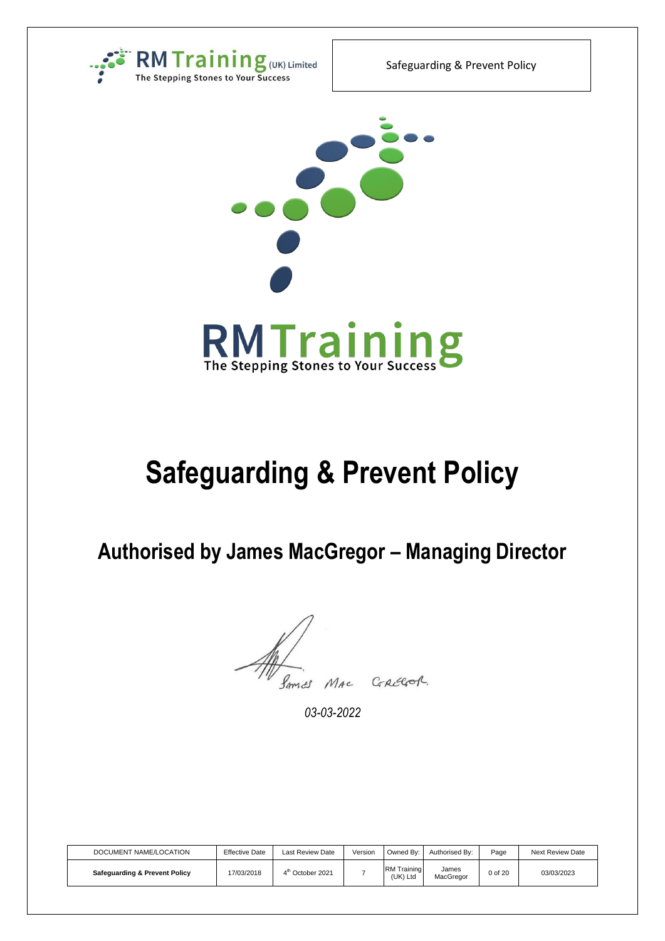



# **Safeguarding & Prevent Policy**

**Authorised by James MacGregor – Managing Director**

MAC GREGOR.

*03-03-2022*

| DOCUMENT NAME/LOCATION                   | <b>Effective Date</b> | <b>Last Review Date</b>      | Version | Owned By:                      | Authorised By:     | Page    | <b>Next Review Date</b> |
|------------------------------------------|-----------------------|------------------------------|---------|--------------------------------|--------------------|---------|-------------------------|
| <b>Safeguarding &amp; Prevent Policy</b> | 17/03/2018            | 4 <sup>th</sup> October 2021 |         | <b>RM</b> Training<br>(UK) Ltd | James<br>MacGregor | 0 of 20 | 03/03/2023              |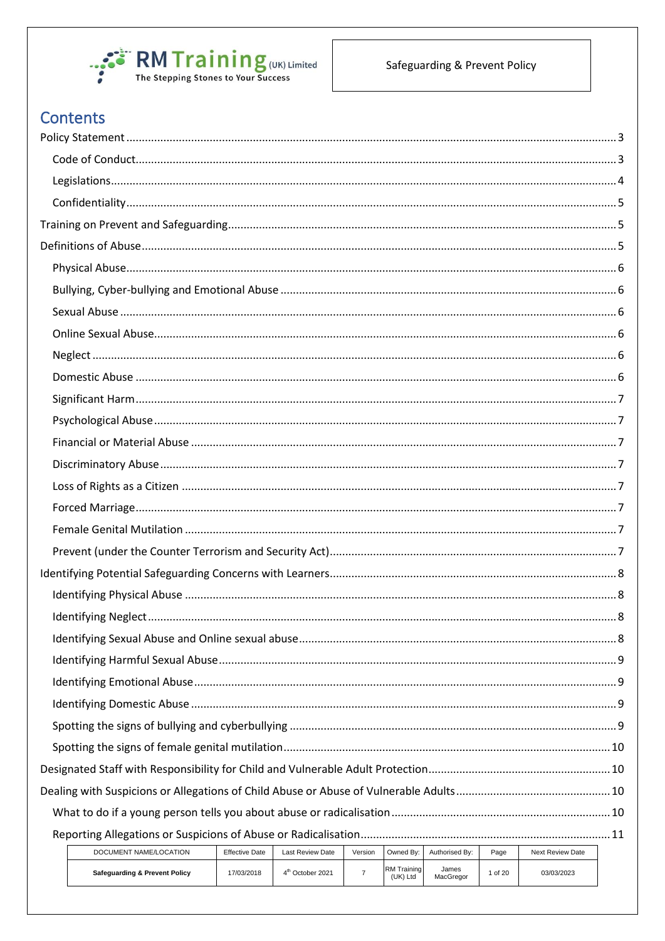

# Contents

| DOCUMENT NAME/LOCATION | <b>Effective Date</b> | Last Review Date | Version | Owned By: | Authorised By: | Page | Next Review Date |  |
|------------------------|-----------------------|------------------|---------|-----------|----------------|------|------------------|--|

| DOCUMENT NAME/LOCATION        | Effective Date | Last Review Date             | Version | Owned Bv:                      | Authorised By:     | Page    | Next Review Date |
|-------------------------------|----------------|------------------------------|---------|--------------------------------|--------------------|---------|------------------|
| Safeguarding & Prevent Policy | 17/03/2018     | 4 <sup>th</sup> October 2021 |         | <b>RM</b> Training<br>(UK) Ltd | James<br>MacGregor | of $20$ | 03/03/2023       |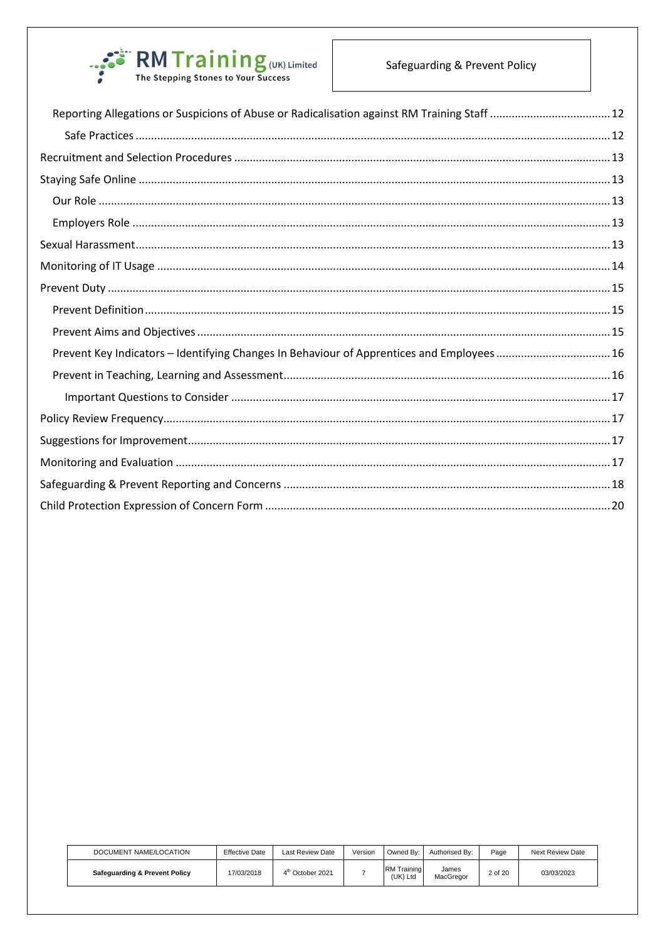

| Prevent Key Indicators - Identifying Changes In Behaviour of Apprentices and Employees  16 |  |
|--------------------------------------------------------------------------------------------|--|
|                                                                                            |  |
|                                                                                            |  |
|                                                                                            |  |
|                                                                                            |  |
|                                                                                            |  |
|                                                                                            |  |
|                                                                                            |  |

| DOCUMENT NAME/LOCATION        | <b>Effective Date</b> | <b>Last Review Date</b>      | Version | Owned By:                      | Authorised By:     | Page    | Next Review Date |
|-------------------------------|-----------------------|------------------------------|---------|--------------------------------|--------------------|---------|------------------|
| Safeguarding & Prevent Policy | 17/03/2018            | 4 <sup>th</sup> October 2021 |         | <b>RM</b> Training<br>(UK) Ltd | James<br>MacGregor | 2 of 20 | 03/03/2023       |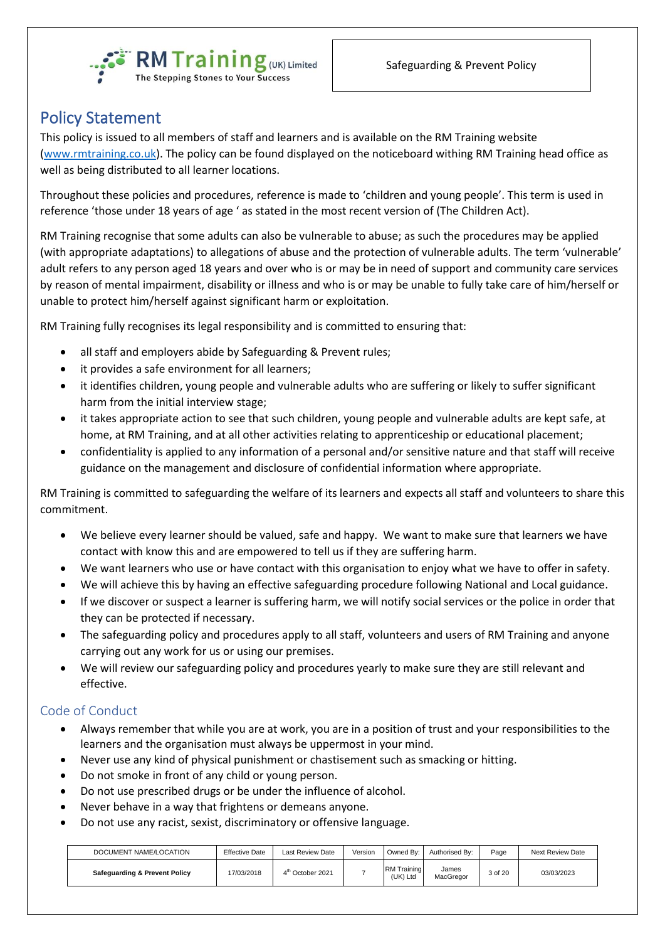



# <span id="page-3-0"></span>Policy Statement

This policy is issued to all members of staff and learners and is available on the RM Training website [\(www.rmtraining.co.uk\)](http://www.rmtraining.co.uk/). The policy can be found displayed on the noticeboard withing RM Training head office as well as being distributed to all learner locations.

Throughout these policies and procedures, reference is made to 'children and young people'. This term is used in reference 'those under 18 years of age ' as stated in the most recent version of (The Children Act).

RM Training recognise that some adults can also be vulnerable to abuse; as such the procedures may be applied (with appropriate adaptations) to allegations of abuse and the protection of vulnerable adults. The term 'vulnerable' adult refers to any person aged 18 years and over who is or may be in need of support and community care services by reason of mental impairment, disability or illness and who is or may be unable to fully take care of him/herself or unable to protect him/herself against significant harm or exploitation.

RM Training fully recognises its legal responsibility and is committed to ensuring that:

- all staff and employers abide by Safeguarding & Prevent rules;
- it provides a safe environment for all learners;
- it identifies children, young people and vulnerable adults who are suffering or likely to suffer significant harm from the initial interview stage;
- it takes appropriate action to see that such children, young people and vulnerable adults are kept safe, at home, at RM Training, and at all other activities relating to apprenticeship or educational placement;
- confidentiality is applied to any information of a personal and/or sensitive nature and that staff will receive guidance on the management and disclosure of confidential information where appropriate.

RM Training is committed to safeguarding the welfare of its learners and expects all staff and volunteers to share this commitment.

- We believe every learner should be valued, safe and happy. We want to make sure that learners we have contact with know this and are empowered to tell us if they are suffering harm.
- We want learners who use or have contact with this organisation to enjoy what we have to offer in safety.
- We will achieve this by having an effective safeguarding procedure following National and Local guidance.
- If we discover or suspect a learner is suffering harm, we will notify social services or the police in order that they can be protected if necessary.
- The safeguarding policy and procedures apply to all staff, volunteers and users of RM Training and anyone carrying out any work for us or using our premises.
- We will review our safeguarding policy and procedures yearly to make sure they are still relevant and effective.

### <span id="page-3-1"></span>Code of Conduct

- Always remember that while you are at work, you are in a position of trust and your responsibilities to the learners and the organisation must always be uppermost in your mind.
- Never use any kind of physical punishment or chastisement such as smacking or hitting.
- Do not smoke in front of any child or young person.
- Do not use prescribed drugs or be under the influence of alcohol.
- Never behave in a way that frightens or demeans anyone.
- Do not use any racist, sexist, discriminatory or offensive language.

| DOCUMENT NAME/LOCATION        | <b>Effective Date</b> | Last Review Date             | Version | Owned Bv:                      | Authorised By:     | Page    | Next Review Date |
|-------------------------------|-----------------------|------------------------------|---------|--------------------------------|--------------------|---------|------------------|
| Safeguarding & Prevent Policy | 17/03/2018            | 4 <sup>th</sup> October 2021 |         | <b>RM</b> Training<br>(UK) Ltd | James<br>MacGregor | 3 of 20 | 03/03/2023       |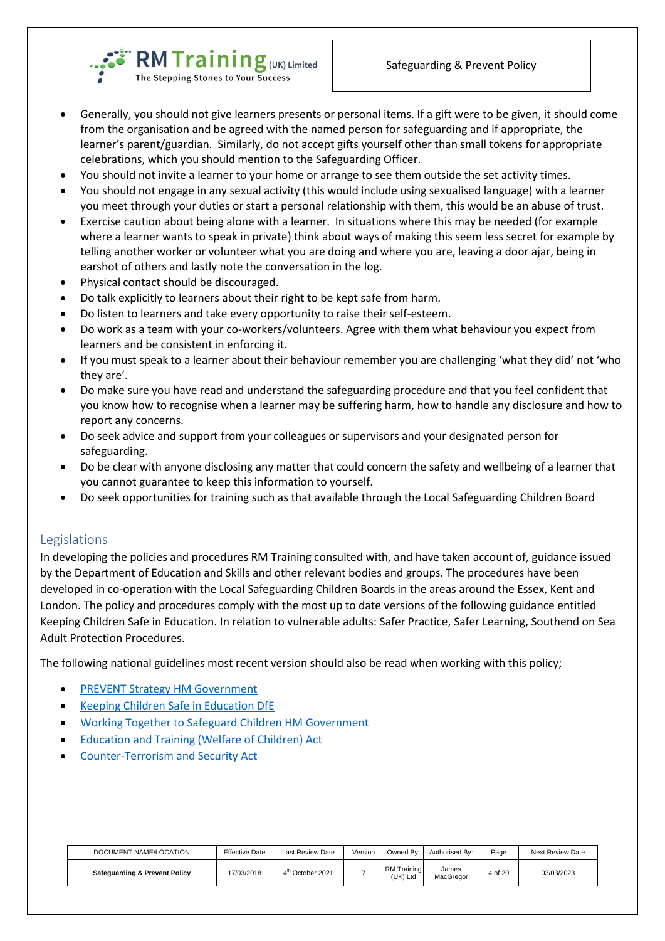



- Generally, you should not give learners presents or personal items. If a gift were to be given, it should come from the organisation and be agreed with the named person for safeguarding and if appropriate, the learner's parent/guardian. Similarly, do not accept gifts yourself other than small tokens for appropriate celebrations, which you should mention to the Safeguarding Officer.
- You should not invite a learner to your home or arrange to see them outside the set activity times.
- You should not engage in any sexual activity (this would include using sexualised language) with a learner you meet through your duties or start a personal relationship with them, this would be an abuse of trust.
- Exercise caution about being alone with a learner. In situations where this may be needed (for example where a learner wants to speak in private) think about ways of making this seem less secret for example by telling another worker or volunteer what you are doing and where you are, leaving a door ajar, being in earshot of others and lastly note the conversation in the log.
- Physical contact should be discouraged.
- Do talk explicitly to learners about their right to be kept safe from harm.
- Do listen to learners and take every opportunity to raise their self-esteem.
- Do work as a team with your co-workers/volunteers. Agree with them what behaviour you expect from learners and be consistent in enforcing it.
- If you must speak to a learner about their behaviour remember you are challenging 'what they did' not 'who they are'.
- Do make sure you have read and understand the safeguarding procedure and that you feel confident that you know how to recognise when a learner may be suffering harm, how to handle any disclosure and how to report any concerns.
- Do seek advice and support from your colleagues or supervisors and your designated person for safeguarding.
- Do be clear with anyone disclosing any matter that could concern the safety and wellbeing of a learner that you cannot guarantee to keep this information to yourself.
- Do seek opportunities for training such as that available through the Local Safeguarding Children Board

### <span id="page-4-0"></span>Legislations

In developing the policies and procedures RM Training consulted with, and have taken account of, guidance issued by the Department of Education and Skills and other relevant bodies and groups. The procedures have been developed in co-operation with the Local Safeguarding Children Boards in the areas around the Essex, Kent and London. The policy and procedures comply with the most up to date versions of the following guidance entitled Keeping Children Safe in Education. In relation to vulnerable adults: Safer Practice, Safer Learning, Southend on Sea Adult Protection Procedures.

The following national guidelines most recent version should also be read when working with this policy;

- [PREVENT Strategy HM Government](https://www.gov.uk/government/publications/prevent-duty-guidance)
- [Keeping Children Safe in Education DfE](https://www.gov.uk/government/publications/keeping-children-safe-in-education--2)
- [Working Together to Safeguard Children HM Government](https://www.gov.uk/government/publications/working-together-to-safeguard-children--2)
- [Education and Training \(Welfare of Children\) Act](https://www.legislation.gov.uk/ukpga/2021/16)
- [Counter-Terrorism and Security Act](https://www.gov.uk/government/collections/counter-terrorism-and-security-bill)

| DOCUMENT NAME/LOCATION                   | <b>Effective Date</b> | <b>Last Review Date</b>      | Version | Owned By:                      | Authorised By:     | Page    | <b>Next Review Date</b> |
|------------------------------------------|-----------------------|------------------------------|---------|--------------------------------|--------------------|---------|-------------------------|
| <b>Safeguarding &amp; Prevent Policy</b> | 17/03/2018            | 4 <sup>th</sup> October 2021 |         | <b>RM</b> Training<br>(UK) Ltd | James<br>MacGregor | 4 of 20 | 03/03/2023              |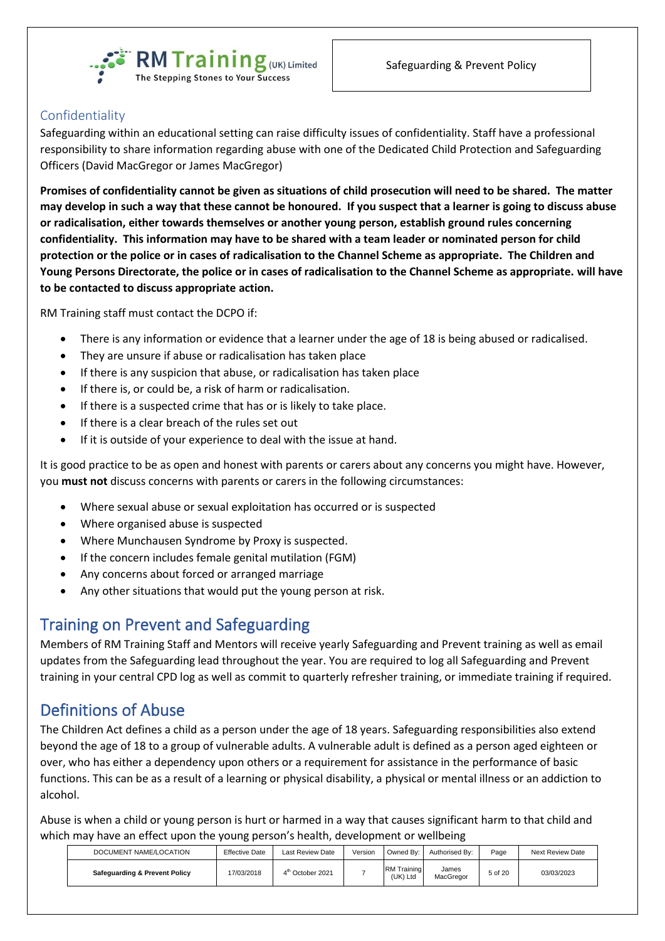

### <span id="page-5-0"></span>Confidentiality

Safeguarding within an educational setting can raise difficulty issues of confidentiality. Staff have a professional responsibility to share information regarding abuse with one of the Dedicated Child Protection and Safeguarding Officers (David MacGregor or James MacGregor)

**Promises of confidentiality cannot be given as situations of child prosecution will need to be shared. The matter may develop in such a way that these cannot be honoured. If you suspect that a learner is going to discuss abuse or radicalisation, either towards themselves or another young person, establish ground rules concerning confidentiality. This information may have to be shared with a team leader or nominated person for child protection or the police or in cases of radicalisation to the Channel Scheme as appropriate. The Children and Young Persons Directorate, the police or in cases of radicalisation to the Channel Scheme as appropriate. will have to be contacted to discuss appropriate action.**

RM Training staff must contact the DCPO if:

- There is any information or evidence that a learner under the age of 18 is being abused or radicalised.
- They are unsure if abuse or radicalisation has taken place
- If there is any suspicion that abuse, or radicalisation has taken place
- If there is, or could be, a risk of harm or radicalisation.
- If there is a suspected crime that has or is likely to take place.
- If there is a clear breach of the rules set out
- If it is outside of your experience to deal with the issue at hand.

It is good practice to be as open and honest with parents or carers about any concerns you might have. However, you **must not** discuss concerns with parents or carers in the following circumstances:

- Where sexual abuse or sexual exploitation has occurred or is suspected
- Where organised abuse is suspected
- Where Munchausen Syndrome by Proxy is suspected.
- If the concern includes female genital mutilation (FGM)
- Any concerns about forced or arranged marriage
- Any other situations that would put the young person at risk.

### <span id="page-5-1"></span>Training on Prevent and Safeguarding

Members of RM Training Staff and Mentors will receive yearly Safeguarding and Prevent training as well as email updates from the Safeguarding lead throughout the year. You are required to log all Safeguarding and Prevent training in your central CPD log as well as commit to quarterly refresher training, or immediate training if required.

# <span id="page-5-2"></span>Definitions of Abuse

The Children Act defines a child as a person under the age of 18 years. Safeguarding responsibilities also extend beyond the age of 18 to a group of vulnerable adults. A vulnerable adult is defined as a person aged eighteen or over, who has either a dependency upon others or a requirement for assistance in the performance of basic functions. This can be as a result of a learning or physical disability, a physical or mental illness or an addiction to alcohol.

Abuse is when a child or young person is hurt or harmed in a way that causes significant harm to that child and which may have an effect upon the young person's health, development or wellbeing

| DOCUMENT NAME/LOCATION                   | <b>Effective Date</b> | Last Review Date             | Version | Owned By:                      | Authorised Bv:     | Page    | Next Review Date |
|------------------------------------------|-----------------------|------------------------------|---------|--------------------------------|--------------------|---------|------------------|
| <b>Safeguarding &amp; Prevent Policy</b> | 17/03/2018            | 4 <sup>th</sup> October 2021 |         | <b>RM</b> Training<br>(UK) Ltd | James<br>MacGregor | 5 of 20 | 03/03/2023       |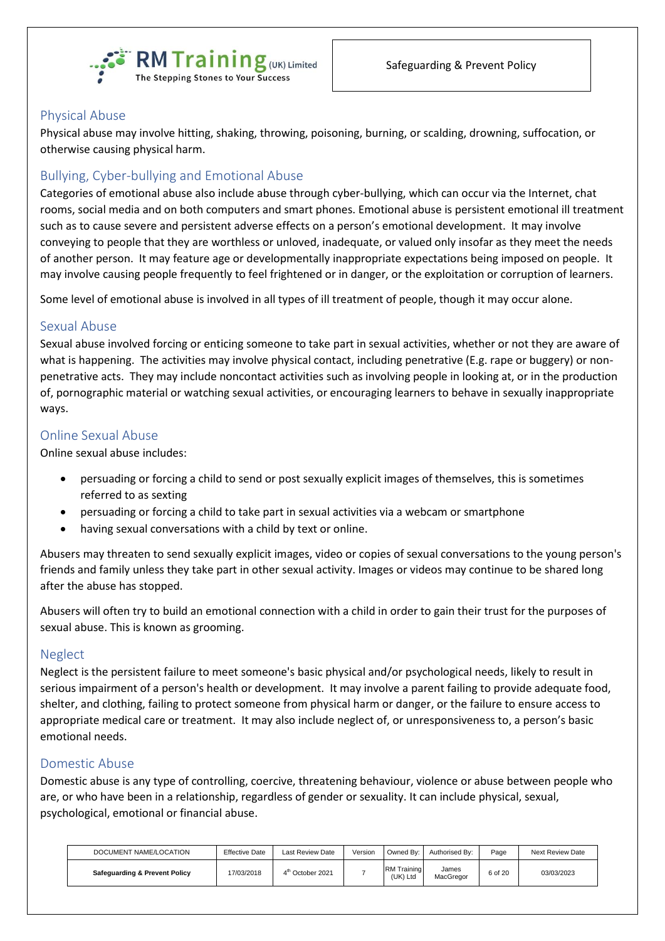

### <span id="page-6-0"></span>Physical Abuse

Physical abuse may involve hitting, shaking, throwing, poisoning, burning, or scalding, drowning, suffocation, or otherwise causing physical harm.

### <span id="page-6-1"></span>Bullying, Cyber-bullying and Emotional Abuse

Categories of emotional abuse also include abuse through cyber-bullying, which can occur via the Internet, chat rooms, social media and on both computers and smart phones. Emotional abuse is persistent emotional ill treatment such as to cause severe and persistent adverse effects on a person's emotional development. It may involve conveying to people that they are worthless or unloved, inadequate, or valued only insofar as they meet the needs of another person. It may feature age or developmentally inappropriate expectations being imposed on people. It may involve causing people frequently to feel frightened or in danger, or the exploitation or corruption of learners.

Some level of emotional abuse is involved in all types of ill treatment of people, though it may occur alone.

#### <span id="page-6-2"></span>Sexual Abuse

Sexual abuse involved forcing or enticing someone to take part in sexual activities, whether or not they are aware of what is happening. The activities may involve physical contact, including penetrative (E.g. rape or buggery) or nonpenetrative acts. They may include noncontact activities such as involving people in looking at, or in the production of, pornographic material or watching sexual activities, or encouraging learners to behave in sexually inappropriate ways.

#### <span id="page-6-3"></span>Online Sexual Abuse

Online sexual abuse includes:

- persuading or forcing a child to send or post sexually explicit images of themselves, this is sometimes referred to as sexting
- persuading or forcing a child to take part in sexual activities via a webcam or smartphone
- having sexual conversations with a child by text or online.

Abusers may threaten to send sexually explicit images, video or copies of sexual conversations to the young person's friends and family unless they take part in other sexual activity. Images or videos may continue to be shared long after the abuse has stopped.

Abusers will often try to build an emotional connection with a child in order to gain their trust for the purposes of sexual abuse. This is known as grooming.

### <span id="page-6-4"></span>Neglect

Neglect is the persistent failure to meet someone's basic physical and/or psychological needs, likely to result in serious impairment of a person's health or development. It may involve a parent failing to provide adequate food, shelter, and clothing, failing to protect someone from physical harm or danger, or the failure to ensure access to appropriate medical care or treatment. It may also include neglect of, or unresponsiveness to, a person's basic emotional needs.

### <span id="page-6-5"></span>Domestic Abuse

Domestic abuse is any type of controlling, coercive, threatening behaviour, violence or abuse between people who are, or who have been in a relationship, regardless of gender or sexuality. It can include physical, sexual, psychological, emotional or financial abuse.

| DOCUMENT NAME/LOCATION                   | <b>Effective Date</b> | <b>Last Review Date</b>      | Version | Owned By:                      | Authorised By:     | Page    | <b>Next Review Date</b> |
|------------------------------------------|-----------------------|------------------------------|---------|--------------------------------|--------------------|---------|-------------------------|
| <b>Safeguarding &amp; Prevent Policy</b> | 17/03/2018            | 4 <sup>th</sup> October 2021 |         | <b>RM</b> Training<br>(UK) Ltd | James<br>MacGregor | 6 of 20 | 03/03/2023              |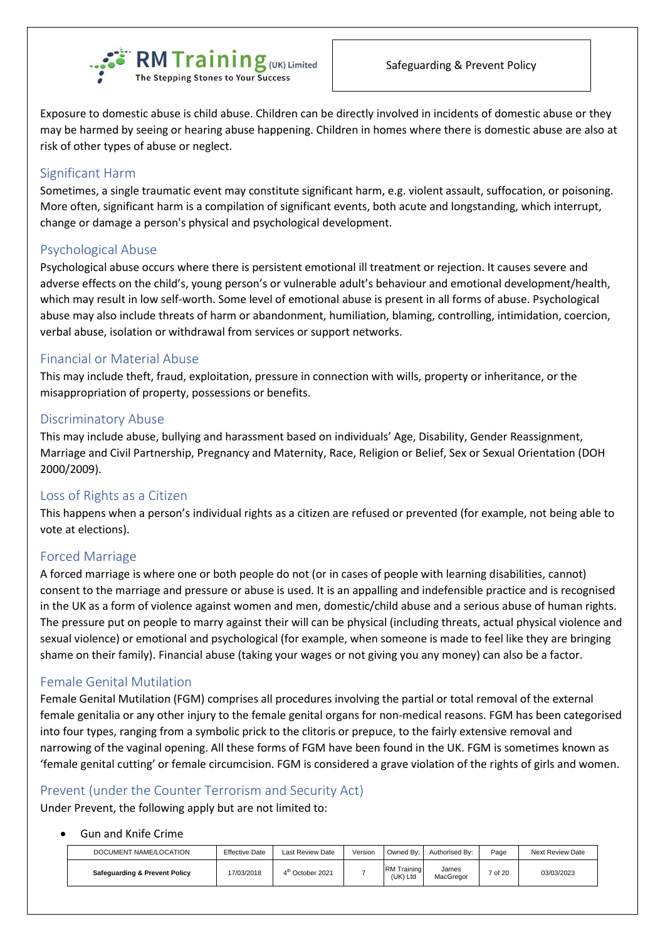

Exposure to domestic abuse is child abuse. Children can be directly involved in incidents of domestic abuse or they may be harmed by seeing or hearing abuse happening. Children in homes where there is domestic abuse are also at risk of other types of abuse or neglect.

### <span id="page-7-0"></span>Significant Harm

Sometimes, a single traumatic event may constitute significant harm, e.g. violent assault, suffocation, or poisoning. More often, significant harm is a compilation of significant events, both acute and longstanding, which interrupt, change or damage a person's physical and psychological development.

### <span id="page-7-1"></span>Psychological Abuse

Psychological abuse occurs where there is persistent emotional ill treatment or rejection. It causes severe and adverse effects on the child's, young person's or vulnerable adult's behaviour and emotional development/health, which may result in low self-worth. Some level of emotional abuse is present in all forms of abuse. Psychological abuse may also include threats of harm or abandonment, humiliation, blaming, controlling, intimidation, coercion, verbal abuse, isolation or withdrawal from services or support networks.

### <span id="page-7-2"></span>Financial or Material Abuse

This may include theft, fraud, exploitation, pressure in connection with wills, property or inheritance, or the misappropriation of property, possessions or benefits.

### <span id="page-7-3"></span>Discriminatory Abuse

This may include abuse, bullying and harassment based on individuals' Age, Disability, Gender Reassignment, Marriage and Civil Partnership, Pregnancy and Maternity, Race, Religion or Belief, Sex or Sexual Orientation (DOH 2000/2009).

#### <span id="page-7-4"></span>Loss of Rights as a Citizen

This happens when a person's individual rights as a citizen are refused or prevented (for example, not being able to vote at elections).

### <span id="page-7-5"></span>Forced Marriage

A forced marriage is where one or both people do not (or in cases of people with learning disabilities, cannot) consent to the marriage and pressure or abuse is used. It is an appalling and indefensible practice and is recognised in the UK as a form of violence against women and men, domestic/child abuse and a serious abuse of human rights. The pressure put on people to marry against their will can be physical (including threats, actual physical violence and sexual violence) or emotional and psychological (for example, when someone is made to feel like they are bringing shame on their family). Financial abuse (taking your wages or not giving you any money) can also be a factor.

### <span id="page-7-6"></span>Female Genital Mutilation

Female Genital Mutilation (FGM) comprises all procedures involving the partial or total removal of the external female genitalia or any other injury to the female genital organs for non-medical reasons. FGM has been categorised into four types, ranging from a symbolic prick to the clitoris or prepuce, to the fairly extensive removal and narrowing of the vaginal opening. All these forms of FGM have been found in the UK. FGM is sometimes known as 'female genital cutting' or female circumcision. FGM is considered a grave violation of the rights of girls and women.

### <span id="page-7-7"></span>Prevent (under the Counter Terrorism and Security Act)

Under Prevent, the following apply but are not limited to:

#### • Gun and Knife Crime

| DOCUMENT NAME/LOCATION                   | <b>Effective Date</b> | Last Review Date             | Version | Owned By:                      | Authorised By:     | Page    | <b>Next Review Date</b> |
|------------------------------------------|-----------------------|------------------------------|---------|--------------------------------|--------------------|---------|-------------------------|
| <b>Safeguarding &amp; Prevent Policy</b> | 17/03/2018            | 4 <sup>th</sup> October 2021 |         | <b>RM</b> Training<br>(UK) Ltd | James<br>MacGregor | 7 of 20 | 03/03/2023              |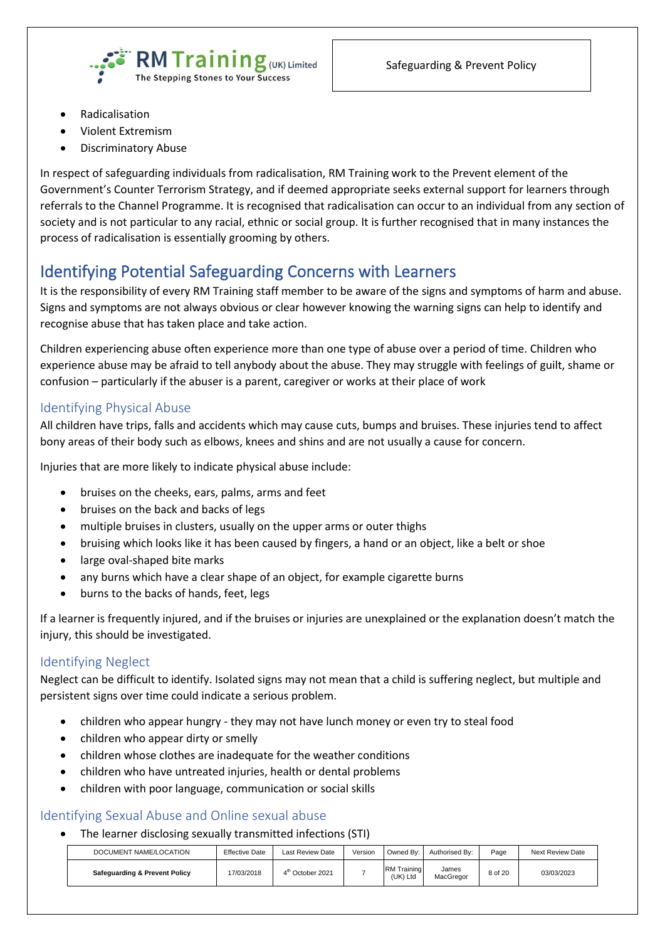

- Radicalisation
- Violent Extremism
- Discriminatory Abuse

In respect of safeguarding individuals from radicalisation, RM Training work to the Prevent element of the Government's Counter Terrorism Strategy, and if deemed appropriate seeks external support for learners through referrals to the Channel Programme. It is recognised that radicalisation can occur to an individual from any section of society and is not particular to any racial, ethnic or social group. It is further recognised that in many instances the process of radicalisation is essentially grooming by others.

# <span id="page-8-0"></span>Identifying Potential Safeguarding Concerns with Learners

It is the responsibility of every RM Training staff member to be aware of the signs and symptoms of harm and abuse. Signs and symptoms are not always obvious or clear however knowing the warning signs can help to identify and recognise abuse that has taken place and take action.

Children experiencing abuse often experience more than one type of abuse over a period of time. Children who experience abuse may be afraid to tell anybody about the abuse. They may struggle with feelings of guilt, shame or confusion – particularly if the abuser is a parent, caregiver or works at their place of work

### <span id="page-8-1"></span>Identifying Physical Abuse

All children have trips, falls and accidents which may cause cuts, bumps and bruises. These injuries tend to affect bony areas of their body such as elbows, knees and shins and are not usually a cause for concern.

Injuries that are more likely to indicate physical abuse include:

- bruises on the cheeks, ears, palms, arms and feet
- bruises on the back and backs of legs
- multiple bruises in clusters, usually on the upper arms or outer thighs
- bruising which looks like it has been caused by fingers, a hand or an object, like a belt or shoe
- large oval-shaped bite marks
- any burns which have a clear shape of an object, for example cigarette burns
- burns to the backs of hands, feet, legs

If a learner is frequently injured, and if the bruises or injuries are unexplained or the explanation doesn't match the injury, this should be investigated.

### <span id="page-8-2"></span>Identifying Neglect

Neglect can be difficult to identify. Isolated signs may not mean that a child is suffering neglect, but multiple and persistent signs over time could indicate a serious problem.

- children who appear hungry they may not have lunch money or even try to steal food
- children who appear dirty or smelly
- children whose clothes are inadequate for the weather conditions
- children who have untreated injuries, health or dental problems
- children with poor language, communication or social skills

### <span id="page-8-3"></span>Identifying Sexual Abuse and Online sexual abuse

• The learner disclosing sexually transmitted infections (STI)

| DOCUMENT NAME/LOCATION                   | <b>Effective Date</b> | Last Review Date             | Version | Owned By:                      | Authorised By:     | Page    | <b>Next Review Date</b> |
|------------------------------------------|-----------------------|------------------------------|---------|--------------------------------|--------------------|---------|-------------------------|
| <b>Safeguarding &amp; Prevent Policy</b> | 17/03/2018            | 4 <sup>th</sup> October 2021 |         | <b>RM</b> Training<br>(UK) Ltd | James<br>MacGregor | 8 of 20 | 03/03/2023              |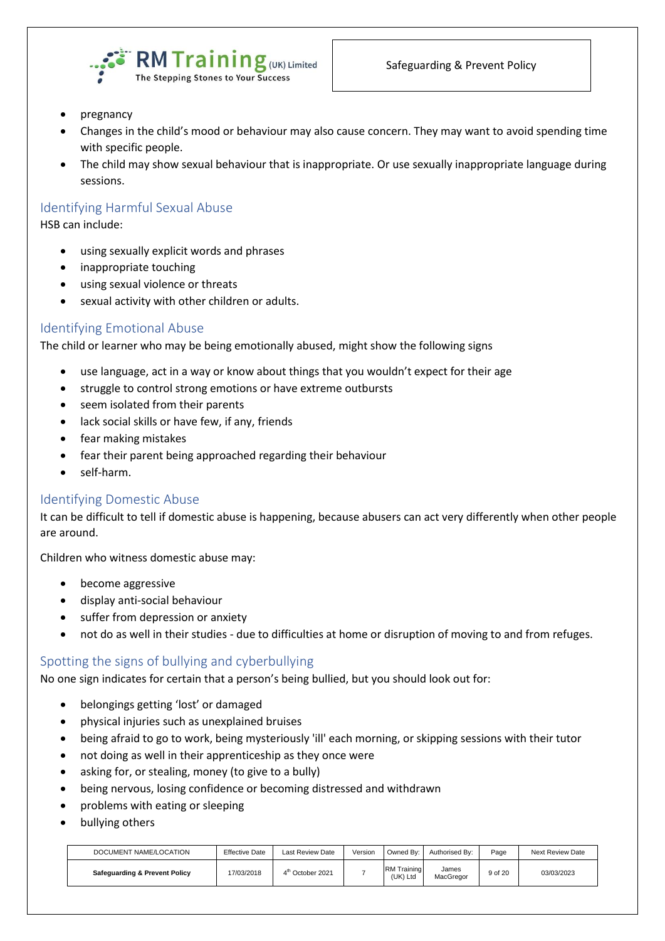



- pregnancy
- Changes in the child's mood or behaviour may also cause concern. They may want to avoid spending time with specific people.
- The child may show sexual behaviour that is inappropriate. Or use sexually inappropriate language during sessions.

### <span id="page-9-0"></span>Identifying Harmful Sexual Abuse

HSB can include:

- using sexually explicit words and phrases
- inappropriate touching
- using sexual violence or threats
- sexual activity with other children or adults.

### <span id="page-9-1"></span>Identifying Emotional Abuse

The child or learner who may be being emotionally abused, might show the following signs

- use language, act in a way or know about things that you wouldn't expect for their age
- struggle to control strong emotions or have extreme outbursts
- seem isolated from their parents
- lack social skills or have few, if any, friends
- fear making mistakes
- fear their parent being approached regarding their behaviour
- self-harm.

#### <span id="page-9-2"></span>Identifying Domestic Abuse

It can be difficult to tell if domestic abuse is happening, because abusers can act very differently when other people are around.

Children who witness domestic abuse may:

- become aggressive
- display anti-social behaviour
- suffer from depression or anxiety
- not do as well in their studies due to difficulties at home or disruption of moving to and from refuges.

### <span id="page-9-3"></span>Spotting the signs of bullying and cyberbullying

No one sign indicates for certain that a person's being bullied, but you should look out for:

- belongings getting 'lost' or damaged
- physical injuries such as unexplained bruises
- being afraid to go to work, being mysteriously 'ill' each morning, or skipping sessions with their tutor
- not doing as well in their apprenticeship as they once were
- asking for, or stealing, money (to give to a bully)
- being nervous, losing confidence or becoming distressed and withdrawn
- problems with eating or sleeping
- bullying others

| DOCUMENT NAME/LOCATION        | <b>Effective Date</b> | <b>Last Review Date</b>      | Version | Owned By:               | Authorised By:     | Page               | <b>Next Review Date</b> |
|-------------------------------|-----------------------|------------------------------|---------|-------------------------|--------------------|--------------------|-------------------------|
| Safeguarding & Prevent Policy | 17/03/2018            | 4 <sup>th</sup> October 2021 |         | RM Training<br>(UK) Ltd | James<br>MacGregor | 9 <sub>of</sub> 20 | 03/03/2023              |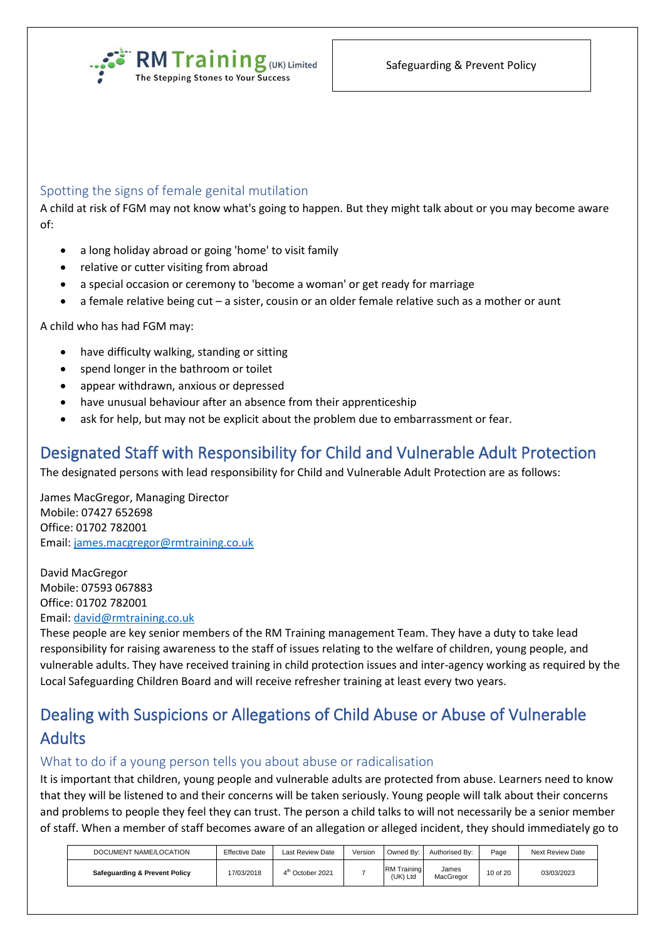

### <span id="page-10-0"></span>Spotting the signs of female genital mutilation

A child at risk of FGM may not know what's going to happen. But they might talk about or you may become aware of:

- a long holiday abroad or going 'home' to visit family
- relative or cutter visiting from abroad
- a special occasion or ceremony to 'become a woman' or get ready for marriage
- a female relative being cut a sister, cousin or an older female relative such as a mother or aunt

A child who has had FGM may:

- have difficulty walking, standing or sitting
- spend longer in the bathroom or toilet
- appear withdrawn, anxious or depressed
- have unusual behaviour after an absence from their apprenticeship
- ask for help, but may not be explicit about the problem due to embarrassment or fear.

# <span id="page-10-1"></span>Designated Staff with Responsibility for Child and Vulnerable Adult Protection

The designated persons with lead responsibility for Child and Vulnerable Adult Protection are as follows:

James MacGregor, Managing Director Mobile: 07427 652698 Office: 01702 782001 Email: [james.macgregor@rmtraining.co.uk](mailto:james.macgregor@rmtraining.co.uk)

David MacGregor Mobile: 07593 067883 Office: 01702 782001 Email: [david@rmtraining.co.uk](mailto:david@rmtraining.co.uk)

These people are key senior members of the RM Training management Team. They have a duty to take lead responsibility for raising awareness to the staff of issues relating to the welfare of children, young people, and vulnerable adults. They have received training in child protection issues and inter-agency working as required by the Local Safeguarding Children Board and will receive refresher training at least every two years.

# <span id="page-10-2"></span>Dealing with Suspicions or Allegations of Child Abuse or Abuse of Vulnerable Adults

### <span id="page-10-3"></span>What to do if a young person tells you about abuse or radicalisation

It is important that children, young people and vulnerable adults are protected from abuse. Learners need to know that they will be listened to and their concerns will be taken seriously. Young people will talk about their concerns and problems to people they feel they can trust. The person a child talks to will not necessarily be a senior member of staff. When a member of staff becomes aware of an allegation or alleged incident, they should immediately go to

| DOCUMENT NAME/LOCATION                   | <b>Effective Date</b> | <b>Last Review Date</b>      | Version | Owned Bv:               | Authorised By:     | Page     | Next Review Date |
|------------------------------------------|-----------------------|------------------------------|---------|-------------------------|--------------------|----------|------------------|
| <b>Safeguarding &amp; Prevent Policy</b> | 17/03/2018            | 4 <sup>th</sup> October 2021 |         | RM Training<br>(UK) Ltd | James<br>MacGregor | 10 of 20 | 03/03/2023       |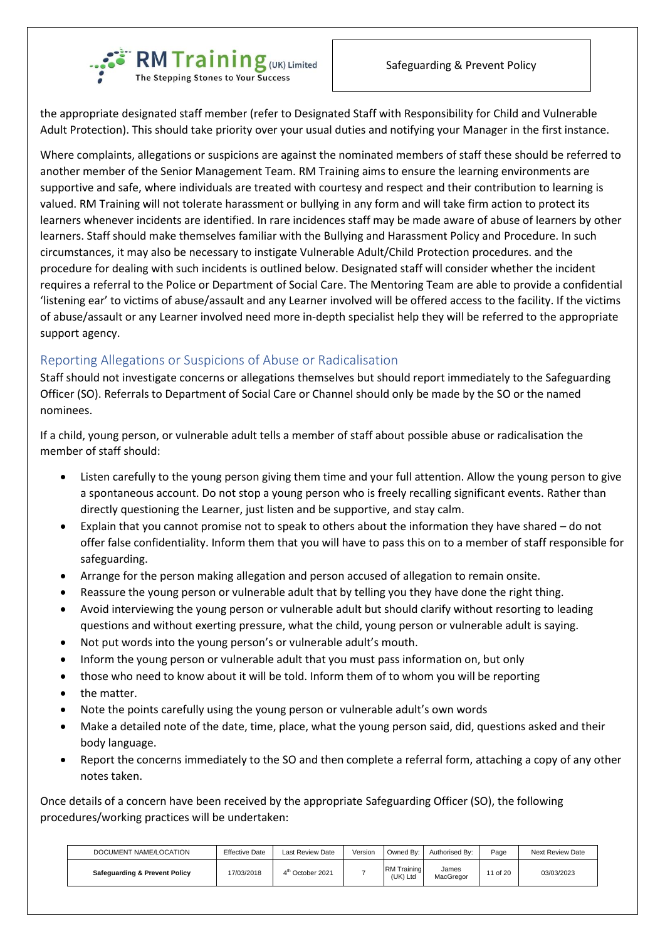

the appropriate designated staff member (refer to Designated Staff with Responsibility for Child and Vulnerable Adult Protection). This should take priority over your usual duties and notifying your Manager in the first instance.

Where complaints, allegations or suspicions are against the nominated members of staff these should be referred to another member of the Senior Management Team. RM Training aims to ensure the learning environments are supportive and safe, where individuals are treated with courtesy and respect and their contribution to learning is valued. RM Training will not tolerate harassment or bullying in any form and will take firm action to protect its learners whenever incidents are identified. In rare incidences staff may be made aware of abuse of learners by other learners. Staff should make themselves familiar with the Bullying and Harassment Policy and Procedure. In such circumstances, it may also be necessary to instigate Vulnerable Adult/Child Protection procedures. and the procedure for dealing with such incidents is outlined below. Designated staff will consider whether the incident requires a referral to the Police or Department of Social Care. The Mentoring Team are able to provide a confidential 'listening ear' to victims of abuse/assault and any Learner involved will be offered access to the facility. If the victims of abuse/assault or any Learner involved need more in-depth specialist help they will be referred to the appropriate support agency.

### <span id="page-11-0"></span>Reporting Allegations or Suspicions of Abuse or Radicalisation

Staff should not investigate concerns or allegations themselves but should report immediately to the Safeguarding Officer (SO). Referrals to Department of Social Care or Channel should only be made by the SO or the named nominees.

If a child, young person, or vulnerable adult tells a member of staff about possible abuse or radicalisation the member of staff should:

- Listen carefully to the young person giving them time and your full attention. Allow the young person to give a spontaneous account. Do not stop a young person who is freely recalling significant events. Rather than directly questioning the Learner, just listen and be supportive, and stay calm.
- Explain that you cannot promise not to speak to others about the information they have shared do not offer false confidentiality. Inform them that you will have to pass this on to a member of staff responsible for safeguarding.
- Arrange for the person making allegation and person accused of allegation to remain onsite.
- Reassure the young person or vulnerable adult that by telling you they have done the right thing.
- Avoid interviewing the young person or vulnerable adult but should clarify without resorting to leading questions and without exerting pressure, what the child, young person or vulnerable adult is saying.
- Not put words into the young person's or vulnerable adult's mouth.
- Inform the young person or vulnerable adult that you must pass information on, but only
- those who need to know about it will be told. Inform them of to whom you will be reporting
- the matter.
- Note the points carefully using the young person or vulnerable adult's own words
- Make a detailed note of the date, time, place, what the young person said, did, questions asked and their body language.
- Report the concerns immediately to the SO and then complete a referral form, attaching a copy of any other notes taken.

Once details of a concern have been received by the appropriate Safeguarding Officer (SO), the following procedures/working practices will be undertaken:

| DOCUMENT NAME/LOCATION        | <b>Effective Date</b> | <b>Last Review Date</b>      | Version | Owned By:                      | Authorised By:     | Page     | <b>Next Review Date</b> |
|-------------------------------|-----------------------|------------------------------|---------|--------------------------------|--------------------|----------|-------------------------|
| Safeguarding & Prevent Policy | 17/03/2018            | 4 <sup>th</sup> October 2021 |         | <b>RM</b> Training<br>(UK) Ltd | James<br>MacGregor | 11 of 20 | 03/03/2023              |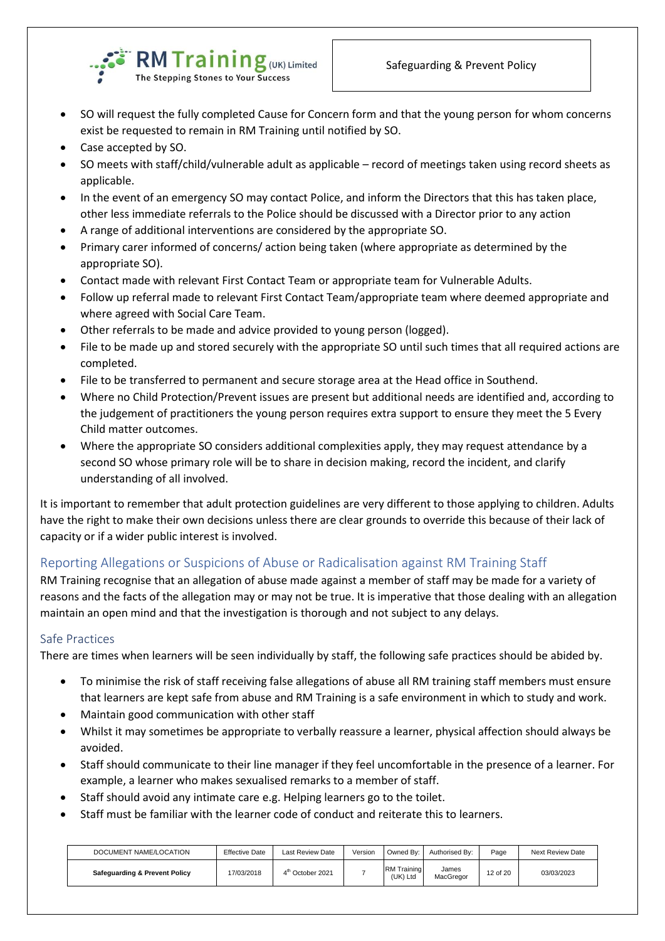

- SO will request the fully completed Cause for Concern form and that the young person for whom concerns exist be requested to remain in RM Training until notified by SO.
- Case accepted by SO.
- SO meets with staff/child/vulnerable adult as applicable record of meetings taken using record sheets as applicable.
- In the event of an emergency SO may contact Police, and inform the Directors that this has taken place, other less immediate referrals to the Police should be discussed with a Director prior to any action
- A range of additional interventions are considered by the appropriate SO.
- Primary carer informed of concerns/ action being taken (where appropriate as determined by the appropriate SO).
- Contact made with relevant First Contact Team or appropriate team for Vulnerable Adults.
- Follow up referral made to relevant First Contact Team/appropriate team where deemed appropriate and where agreed with Social Care Team.
- Other referrals to be made and advice provided to young person (logged).
- File to be made up and stored securely with the appropriate SO until such times that all required actions are completed.
- File to be transferred to permanent and secure storage area at the Head office in Southend.
- Where no Child Protection/Prevent issues are present but additional needs are identified and, according to the judgement of practitioners the young person requires extra support to ensure they meet the 5 Every Child matter outcomes.
- Where the appropriate SO considers additional complexities apply, they may request attendance by a second SO whose primary role will be to share in decision making, record the incident, and clarify understanding of all involved.

It is important to remember that adult protection guidelines are very different to those applying to children. Adults have the right to make their own decisions unless there are clear grounds to override this because of their lack of capacity or if a wider public interest is involved.

### <span id="page-12-0"></span>Reporting Allegations or Suspicions of Abuse or Radicalisation against RM Training Staff

RM Training recognise that an allegation of abuse made against a member of staff may be made for a variety of reasons and the facts of the allegation may or may not be true. It is imperative that those dealing with an allegation maintain an open mind and that the investigation is thorough and not subject to any delays.

#### <span id="page-12-1"></span>Safe Practices

There are times when learners will be seen individually by staff, the following safe practices should be abided by.

- To minimise the risk of staff receiving false allegations of abuse all RM training staff members must ensure that learners are kept safe from abuse and RM Training is a safe environment in which to study and work.
- Maintain good communication with other staff
- Whilst it may sometimes be appropriate to verbally reassure a learner, physical affection should always be avoided.
- Staff should communicate to their line manager if they feel uncomfortable in the presence of a learner. For example, a learner who makes sexualised remarks to a member of staff.
- Staff should avoid any intimate care e.g. Helping learners go to the toilet.
- Staff must be familiar with the learner code of conduct and reiterate this to learners.

| DOCUMENT NAME/LOCATION                   | <b>Effective Date</b> | <b>Last Review Date</b>      | Version | Owned Bv:                      | Authorised By:     | Page     | Next Review Date |
|------------------------------------------|-----------------------|------------------------------|---------|--------------------------------|--------------------|----------|------------------|
| <b>Safeguarding &amp; Prevent Policy</b> | 17/03/2018            | 4 <sup>th</sup> October 2021 |         | <b>RM</b> Training<br>(UK) Ltd | James<br>MacGregor | 12 of 20 | 03/03/2023       |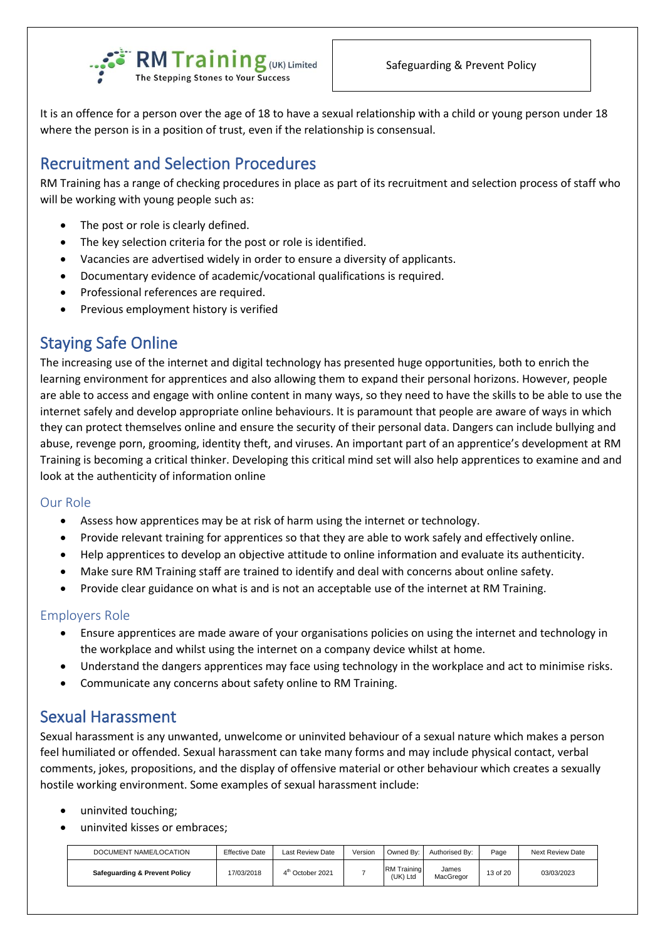

It is an offence for a person over the age of 18 to have a sexual relationship with a child or young person under 18 where the person is in a position of trust, even if the relationship is consensual.

# <span id="page-13-0"></span>Recruitment and Selection Procedures

RM Training has a range of checking procedures in place as part of its recruitment and selection process of staff who will be working with young people such as:

- The post or role is clearly defined.
- The key selection criteria for the post or role is identified.
- Vacancies are advertised widely in order to ensure a diversity of applicants.
- Documentary evidence of academic/vocational qualifications is required.
- Professional references are required.
- Previous employment history is verified

# <span id="page-13-1"></span>Staying Safe Online

The increasing use of the internet and digital technology has presented huge opportunities, both to enrich the learning environment for apprentices and also allowing them to expand their personal horizons. However, people are able to access and engage with online content in many ways, so they need to have the skills to be able to use the internet safely and develop appropriate online behaviours. It is paramount that people are aware of ways in which they can protect themselves online and ensure the security of their personal data. Dangers can include bullying and abuse, revenge porn, grooming, identity theft, and viruses. An important part of an apprentice's development at RM Training is becoming a critical thinker. Developing this critical mind set will also help apprentices to examine and and look at the authenticity of information online

### <span id="page-13-2"></span>Our Role

- Assess how apprentices may be at risk of harm using the internet or technology.
- Provide relevant training for apprentices so that they are able to work safely and effectively online.
- Help apprentices to develop an objective attitude to online information and evaluate its authenticity.
- Make sure RM Training staff are trained to identify and deal with concerns about online safety.
- Provide clear guidance on what is and is not an acceptable use of the internet at RM Training.

### <span id="page-13-3"></span>Employers Role

- Ensure apprentices are made aware of your organisations policies on using the internet and technology in the workplace and whilst using the internet on a company device whilst at home.
- Understand the dangers apprentices may face using technology in the workplace and act to minimise risks.
- Communicate any concerns about safety online to RM Training.

# <span id="page-13-4"></span>Sexual Harassment

Sexual harassment is any unwanted, unwelcome or uninvited behaviour of a sexual nature which makes a person feel humiliated or offended. Sexual harassment can take many forms and may include physical contact, verbal comments, jokes, propositions, and the display of offensive material or other behaviour which creates a sexually hostile working environment. Some examples of sexual harassment include:

- uninvited touching;
- uninvited kisses or embraces;

| DOCUMENT NAME/LOCATION        | <b>Effective Date</b> | <b>Last Review Date</b>      | Version | Owned By:                      | Authorised By:     | Page     | <b>Next Review Date</b> |
|-------------------------------|-----------------------|------------------------------|---------|--------------------------------|--------------------|----------|-------------------------|
| Safeguarding & Prevent Policy | 17/03/2018            | 4 <sup>th</sup> October 2021 |         | <b>RM</b> Training<br>(UK) Ltd | James<br>MacGregor | 13 of 20 | 03/03/2023              |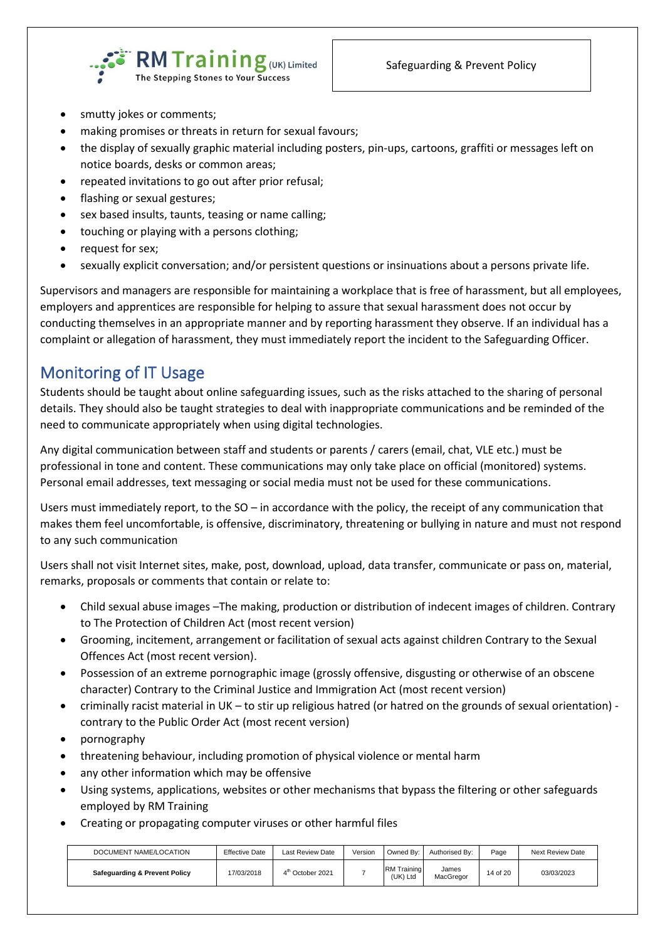

- smutty jokes or comments;
- making promises or threats in return for sexual favours;
- the display of sexually graphic material including posters, pin-ups, cartoons, graffiti or messages left on notice boards, desks or common areas;
- repeated invitations to go out after prior refusal;
- flashing or sexual gestures;
- sex based insults, taunts, teasing or name calling;
- touching or playing with a persons clothing;
- request for sex;
- sexually explicit conversation; and/or persistent questions or insinuations about a persons private life.

Supervisors and managers are responsible for maintaining a workplace that is free of harassment, but all employees, employers and apprentices are responsible for helping to assure that sexual harassment does not occur by conducting themselves in an appropriate manner and by reporting harassment they observe. If an individual has a complaint or allegation of harassment, they must immediately report the incident to the Safeguarding Officer.

### <span id="page-14-0"></span>Monitoring of IT Usage

Students should be taught about online safeguarding issues, such as the risks attached to the sharing of personal details. They should also be taught strategies to deal with inappropriate communications and be reminded of the need to communicate appropriately when using digital technologies.

Any digital communication between staff and students or parents / carers (email, chat, VLE etc.) must be professional in tone and content. These communications may only take place on official (monitored) systems. Personal email addresses, text messaging or social media must not be used for these communications.

Users must immediately report, to the SO – in accordance with the policy, the receipt of any communication that makes them feel uncomfortable, is offensive, discriminatory, threatening or bullying in nature and must not respond to any such communication

Users shall not visit Internet sites, make, post, download, upload, data transfer, communicate or pass on, material, remarks, proposals or comments that contain or relate to:

- Child sexual abuse images –The making, production or distribution of indecent images of children. Contrary to The Protection of Children Act (most recent version)
- Grooming, incitement, arrangement or facilitation of sexual acts against children Contrary to the Sexual Offences Act (most recent version).
- Possession of an extreme pornographic image (grossly offensive, disgusting or otherwise of an obscene character) Contrary to the Criminal Justice and Immigration Act (most recent version)
- criminally racist material in UK to stir up religious hatred (or hatred on the grounds of sexual orientation) contrary to the Public Order Act (most recent version)
- pornography
- threatening behaviour, including promotion of physical violence or mental harm
- any other information which may be offensive
- Using systems, applications, websites or other mechanisms that bypass the filtering or other safeguards employed by RM Training
- Creating or propagating computer viruses or other harmful files

| DOCUMENT NAME/LOCATION        | <b>Effective Date</b> | <b>Last Review Date</b>      | Version | Owned By:                      | Authorised By:     | Page     | Next Review Date |
|-------------------------------|-----------------------|------------------------------|---------|--------------------------------|--------------------|----------|------------------|
| Safeguarding & Prevent Policy | 17/03/2018            | 4 <sup>th</sup> October 2021 |         | <b>RM</b> Training<br>(UK) Ltd | James<br>MacGregor | 14 of 20 | 03/03/2023       |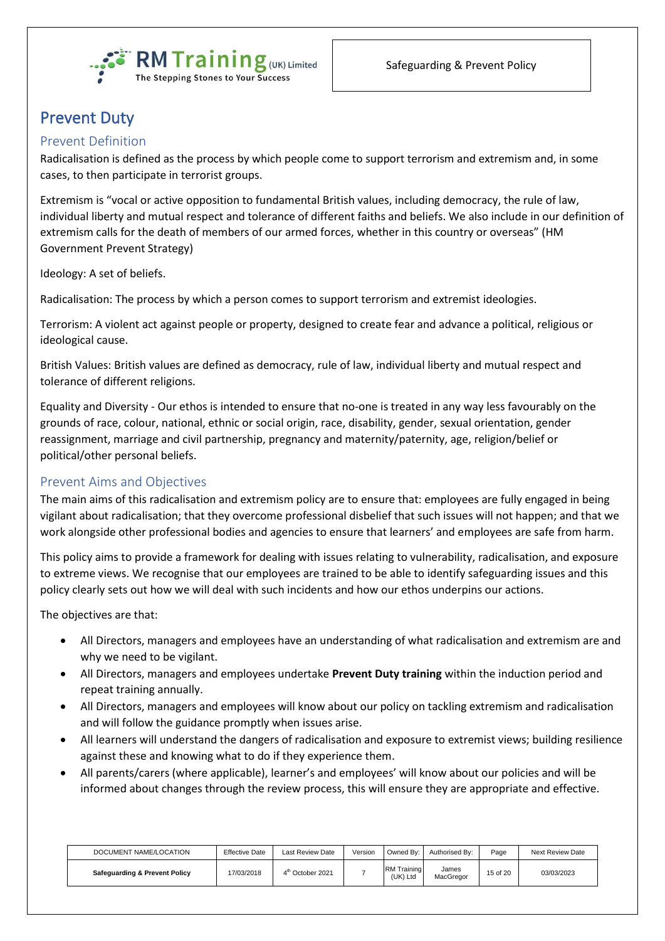

# <span id="page-15-0"></span>Prevent Duty

### <span id="page-15-1"></span>Prevent Definition

Radicalisation is defined as the process by which people come to support terrorism and extremism and, in some cases, to then participate in terrorist groups.

Extremism is "vocal or active opposition to fundamental British values, including democracy, the rule of law, individual liberty and mutual respect and tolerance of different faiths and beliefs. We also include in our definition of extremism calls for the death of members of our armed forces, whether in this country or overseas" (HM Government Prevent Strategy)

Ideology: A set of beliefs.

Radicalisation: The process by which a person comes to support terrorism and extremist ideologies.

Terrorism: A violent act against people or property, designed to create fear and advance a political, religious or ideological cause.

British Values: British values are defined as democracy, rule of law, individual liberty and mutual respect and tolerance of different religions.

Equality and Diversity - Our ethos is intended to ensure that no-one is treated in any way less favourably on the grounds of race, colour, national, ethnic or social origin, race, disability, gender, sexual orientation, gender reassignment, marriage and civil partnership, pregnancy and maternity/paternity, age, religion/belief or political/other personal beliefs.

### <span id="page-15-2"></span>Prevent Aims and Objectives

The main aims of this radicalisation and extremism policy are to ensure that: employees are fully engaged in being vigilant about radicalisation; that they overcome professional disbelief that such issues will not happen; and that we work alongside other professional bodies and agencies to ensure that learners' and employees are safe from harm.

This policy aims to provide a framework for dealing with issues relating to vulnerability, radicalisation, and exposure to extreme views. We recognise that our employees are trained to be able to identify safeguarding issues and this policy clearly sets out how we will deal with such incidents and how our ethos underpins our actions.

The objectives are that:

- All Directors, managers and employees have an understanding of what radicalisation and extremism are and why we need to be vigilant.
- All Directors, managers and employees undertake **Prevent Duty training** within the induction period and repeat training annually.
- All Directors, managers and employees will know about our policy on tackling extremism and radicalisation and will follow the guidance promptly when issues arise.
- All learners will understand the dangers of radicalisation and exposure to extremist views; building resilience against these and knowing what to do if they experience them.
- All parents/carers (where applicable), learner's and employees' will know about our policies and will be informed about changes through the review process, this will ensure they are appropriate and effective.

| DOCUMENT NAME/LOCATION                   | <b>Effective Date</b> | <b>Last Review Date</b>      | Version | Owned By:                      | Authorised By:     | Page     | Next Review Date |
|------------------------------------------|-----------------------|------------------------------|---------|--------------------------------|--------------------|----------|------------------|
| <b>Safeguarding &amp; Prevent Policy</b> | 17/03/2018            | 4 <sup>th</sup> October 2021 |         | <b>RM</b> Training<br>(UK) Ltd | James<br>MacGregor | 15 of 20 | 03/03/2023       |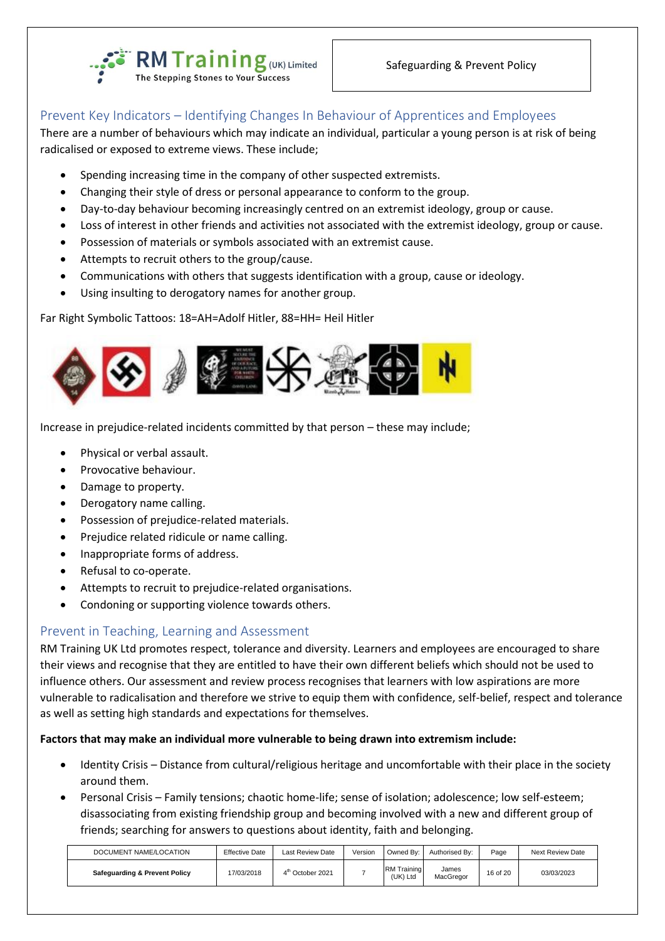

### <span id="page-16-0"></span>Prevent Key Indicators – Identifying Changes In Behaviour of Apprentices and Employees

There are a number of behaviours which may indicate an individual, particular a young person is at risk of being radicalised or exposed to extreme views. These include;

- Spending increasing time in the company of other suspected extremists.
- Changing their style of dress or personal appearance to conform to the group.
- Day-to-day behaviour becoming increasingly centred on an extremist ideology, group or cause.
- Loss of interest in other friends and activities not associated with the extremist ideology, group or cause.
- Possession of materials or symbols associated with an extremist cause.
- Attempts to recruit others to the group/cause.
- Communications with others that suggests identification with a group, cause or ideology.
- Using insulting to derogatory names for another group.

Far Right Symbolic Tattoos: 18=AH=Adolf Hitler, 88=HH= Heil Hitler



Increase in prejudice-related incidents committed by that person – these may include;

- Physical or verbal assault.
- Provocative behaviour.
- Damage to property.
- Derogatory name calling.
- Possession of prejudice-related materials.
- Prejudice related ridicule or name calling.
- Inappropriate forms of address.
- Refusal to co-operate.
- Attempts to recruit to prejudice-related organisations.
- Condoning or supporting violence towards others.

### <span id="page-16-1"></span>Prevent in Teaching, Learning and Assessment

RM Training UK Ltd promotes respect, tolerance and diversity. Learners and employees are encouraged to share their views and recognise that they are entitled to have their own different beliefs which should not be used to influence others. Our assessment and review process recognises that learners with low aspirations are more vulnerable to radicalisation and therefore we strive to equip them with confidence, self-belief, respect and tolerance as well as setting high standards and expectations for themselves.

#### **Factors that may make an individual more vulnerable to being drawn into extremism include:**

- Identity Crisis Distance from cultural/religious heritage and uncomfortable with their place in the society around them.
- Personal Crisis Family tensions; chaotic home-life; sense of isolation; adolescence; low self-esteem; disassociating from existing friendship group and becoming involved with a new and different group of friends; searching for answers to questions about identity, faith and belonging.

| DOCUMENT NAME/LOCATION                   | <b>Effective Date</b> | <b>Last Review Date</b>      | Version | Owned By:                      | Authorised By:     | Page     | Next Review Date |
|------------------------------------------|-----------------------|------------------------------|---------|--------------------------------|--------------------|----------|------------------|
| <b>Safeguarding &amp; Prevent Policy</b> | 17/03/2018            | 4 <sup>th</sup> October 2021 |         | <b>RM</b> Training<br>(UK) Ltd | James<br>MacGregor | 16 of 20 | 03/03/2023       |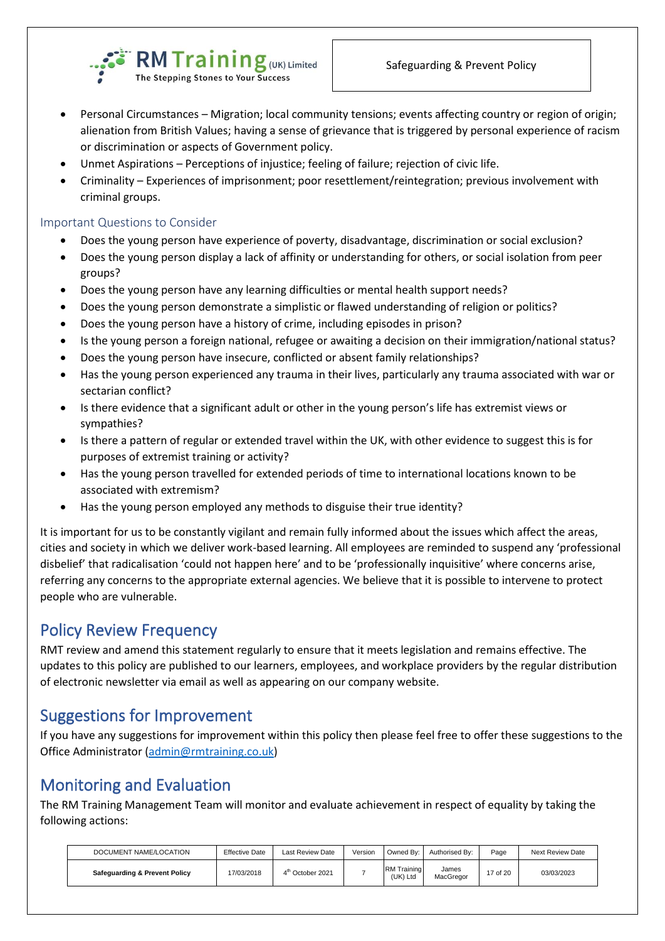

- Personal Circumstances Migration; local community tensions; events affecting country or region of origin; alienation from British Values; having a sense of grievance that is triggered by personal experience of racism or discrimination or aspects of Government policy.
- Unmet Aspirations Perceptions of injustice; feeling of failure; rejection of civic life.
- Criminality Experiences of imprisonment; poor resettlement/reintegration; previous involvement with criminal groups.

#### <span id="page-17-0"></span>Important Questions to Consider

- Does the young person have experience of poverty, disadvantage, discrimination or social exclusion?
- Does the young person display a lack of affinity or understanding for others, or social isolation from peer groups?
- Does the young person have any learning difficulties or mental health support needs?
- Does the young person demonstrate a simplistic or flawed understanding of religion or politics?
- Does the young person have a history of crime, including episodes in prison?
- Is the young person a foreign national, refugee or awaiting a decision on their immigration/national status?
- Does the young person have insecure, conflicted or absent family relationships?
- Has the young person experienced any trauma in their lives, particularly any trauma associated with war or sectarian conflict?
- Is there evidence that a significant adult or other in the young person's life has extremist views or sympathies?
- Is there a pattern of regular or extended travel within the UK, with other evidence to suggest this is for purposes of extremist training or activity?
- Has the young person travelled for extended periods of time to international locations known to be associated with extremism?
- Has the young person employed any methods to disguise their true identity?

It is important for us to be constantly vigilant and remain fully informed about the issues which affect the areas, cities and society in which we deliver work-based learning. All employees are reminded to suspend any 'professional disbelief' that radicalisation 'could not happen here' and to be 'professionally inquisitive' where concerns arise, referring any concerns to the appropriate external agencies. We believe that it is possible to intervene to protect people who are vulnerable.

### <span id="page-17-1"></span>Policy Review Frequency

RMT review and amend this statement regularly to ensure that it meets legislation and remains effective. The updates to this policy are published to our learners, employees, and workplace providers by the regular distribution of electronic newsletter via email as well as appearing on our company website.

# <span id="page-17-2"></span>Suggestions for Improvement

If you have any suggestions for improvement within this policy then please feel free to offer these suggestions to the Office Administrator [\(admin@rmtraining.co.uk\)](mailto:admin@rmtraining.co.uk)

# <span id="page-17-3"></span>Monitoring and Evaluation

The RM Training Management Team will monitor and evaluate achievement in respect of equality by taking the following actions:

| DOCUMENT NAME/LOCATION        | <b>Effective Date</b> | Last Review Date             | Version | Owned By:                      | Authorised By:     | Page     | <b>Next Review Date</b> |
|-------------------------------|-----------------------|------------------------------|---------|--------------------------------|--------------------|----------|-------------------------|
| Safeguarding & Prevent Policy | 17/03/2018            | 4 <sup>th</sup> October 2021 |         | <b>RM</b> Training<br>(UK) Ltd | James<br>MacGregor | 17 of 20 | 03/03/2023              |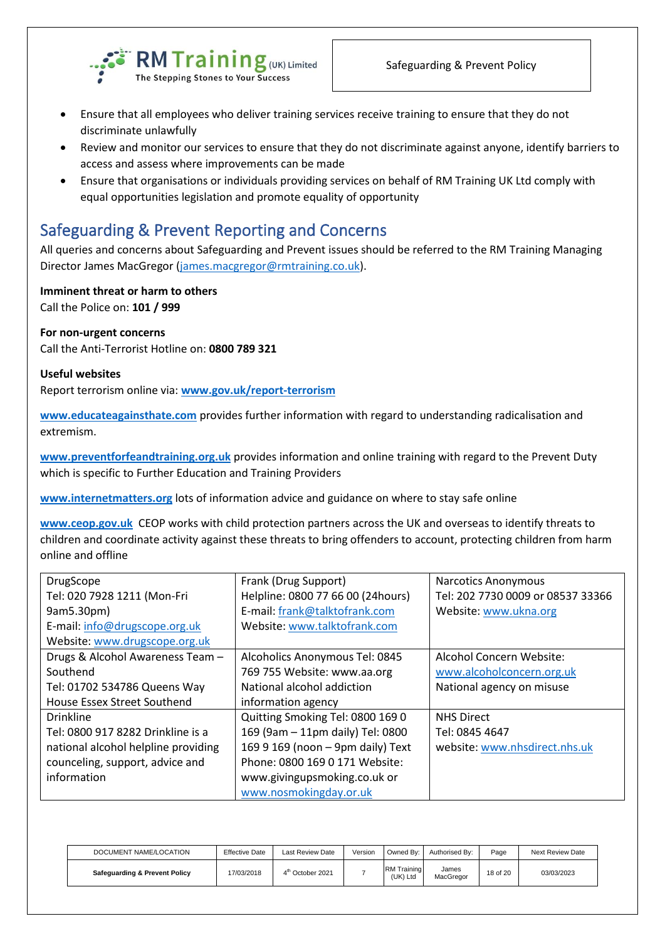

- Ensure that all employees who deliver training services receive training to ensure that they do not discriminate unlawfully
- Review and monitor our services to ensure that they do not discriminate against anyone, identify barriers to access and assess where improvements can be made
- Ensure that organisations or individuals providing services on behalf of RM Training UK Ltd comply with equal opportunities legislation and promote equality of opportunity

# <span id="page-18-0"></span>Safeguarding & Prevent Reporting and Concerns

All queries and concerns about Safeguarding and Prevent issues should be referred to the RM Training Managing Director James MacGregor [\(james.macgregor@rmtraining.co.uk\)](mailto:james.macgregor@rmtraining.co.uk).

#### **Imminent threat or harm to others**

Call the Police on: **101 / 999**

#### **For non-urgent concerns**

Call the Anti-Terrorist Hotline on: **0800 789 321**

#### **Useful websites**

Report terrorism online via: **[www.gov.uk/report-terrorism](http://www.gov.uk/report-terrorism)**

**[www.educateagainsthate.com](http://www.educateagainsthate.com/)** provides further information with regard to understanding radicalisation and extremism.

**[www.preventforfeandtraining.org.uk](http://www.preventforfeandtraining.org.uk/)** provides information and online training with regard to the Prevent Duty which is specific to Further Education and Training Providers

**[www.internetmatters.org](http://www.internetmatters.org/)** lots of information advice and guidance on where to stay safe online

**[www.ceop.gov.uk](http://www.ceop.gov.uk/)** CEOP works with child protection partners across the UK and overseas to identify threats to children and coordinate activity against these threats to bring offenders to account, protecting children from harm online and offline

| <b>DrugScope</b>                    | Frank (Drug Support)              | <b>Narcotics Anonymous</b>        |
|-------------------------------------|-----------------------------------|-----------------------------------|
| Tel: 020 7928 1211 (Mon-Fri         | Helpline: 0800 77 66 00 (24hours) | Tel: 202 7730 0009 or 08537 33366 |
| 9am5.30pm)                          | E-mail: frank@talktofrank.com     | Website: www.ukna.org             |
| E-mail: info@drugscope.org.uk       | Website: www.talktofrank.com      |                                   |
| Website: www.drugscope.org.uk       |                                   |                                   |
| Drugs & Alcohol Awareness Team -    | Alcoholics Anonymous Tel: 0845    | Alcohol Concern Website:          |
| Southend                            | 769 755 Website: www.aa.org       | www.alcoholconcern.org.uk         |
| Tel: 01702 534786 Queens Way        | National alcohol addiction        | National agency on misuse         |
| House Essex Street Southend         | information agency                |                                   |
| <b>Drinkline</b>                    | Quitting Smoking Tel: 0800 169 0  | <b>NHS Direct</b>                 |
| Tel: 0800 917 8282 Drinkline is a   | 169 (9am - 11pm daily) Tel: 0800  | Tel: 0845 4647                    |
| national alcohol helpline providing | 169 9 169 (noon - 9pm daily) Text | website: www.nhsdirect.nhs.uk     |
| counceling, support, advice and     | Phone: 0800 169 0 171 Website:    |                                   |
| information                         | www.givingupsmoking.co.uk or      |                                   |
|                                     | www.nosmokingday.or.uk            |                                   |

| DOCUMENT NAME/LOCATION        | Effective Date | <b>Last Review Date</b>      | Version | Owned By:                      | Authorised By:     | Page     | Next Review Date |
|-------------------------------|----------------|------------------------------|---------|--------------------------------|--------------------|----------|------------------|
| Safeguarding & Prevent Policy | 17/03/2018     | 4 <sup>th</sup> October 2021 |         | <b>RM</b> Training<br>(UK) Ltd | James<br>MacGregor | 18 of 20 | 03/03/2023       |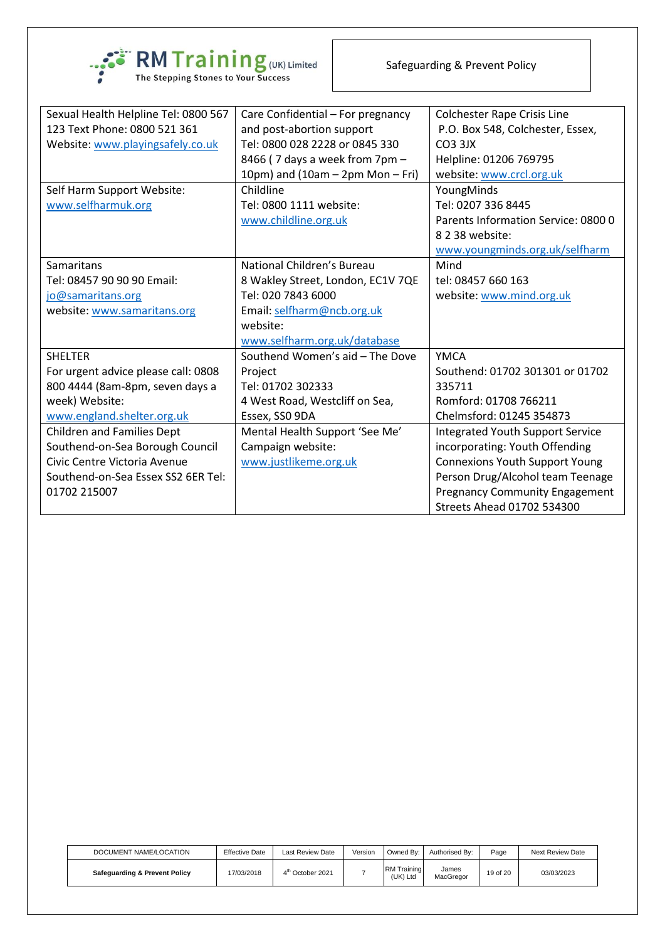

| Sexual Health Helpline Tel: 0800 567 | Care Confidential - For pregnancy  | Colchester Rape Crisis Line             |
|--------------------------------------|------------------------------------|-----------------------------------------|
| 123 Text Phone: 0800 521 361         | and post-abortion support          | P.O. Box 548, Colchester, Essex,        |
| Website: www.playingsafely.co.uk     | Tel: 0800 028 2228 or 0845 330     | CO3 3JX                                 |
|                                      | 8466 (7 days a week from 7pm -     | Helpline: 01206 769795                  |
|                                      | 10pm) and $(10am - 2pm Mon - Fri)$ | website: www.crcl.org.uk                |
| Self Harm Support Website:           | Childline                          | YoungMinds                              |
| www.selfharmuk.org                   | Tel: 0800 1111 website:            | Tel: 0207 336 8445                      |
|                                      | www.childline.org.uk               | Parents Information Service: 0800 0     |
|                                      |                                    | 8 2 38 website:                         |
|                                      |                                    | www.youngminds.org.uk/selfharm          |
| <b>Samaritans</b>                    | National Children's Bureau         | Mind                                    |
| Tel: 08457 90 90 90 Email:           | 8 Wakley Street, London, EC1V 7QE  | tel: 08457 660 163                      |
| jo@samaritans.org                    | Tel: 020 7843 6000                 | website: www.mind.org.uk                |
| website: www.samaritans.org          | Email: selfharm@ncb.org.uk         |                                         |
|                                      | website:                           |                                         |
|                                      | www.selfharm.org.uk/database       |                                         |
| <b>SHELTER</b>                       | Southend Women's aid - The Dove    | <b>YMCA</b>                             |
| For urgent advice please call: 0808  | Project                            | Southend: 01702 301301 or 01702         |
| 800 4444 (8am-8pm, seven days a      | Tel: 01702 302333                  | 335711                                  |
| week) Website:                       | 4 West Road, Westcliff on Sea,     | Romford: 01708 766211                   |
| www.england.shelter.org.uk           | Essex, SSO 9DA                     | Chelmsford: 01245 354873                |
| <b>Children and Families Dept</b>    | Mental Health Support 'See Me'     | <b>Integrated Youth Support Service</b> |
| Southend-on-Sea Borough Council      | Campaign website:                  | incorporating: Youth Offending          |
| Civic Centre Victoria Avenue         | www.justlikeme.org.uk              | <b>Connexions Youth Support Young</b>   |
| Southend-on-Sea Essex SS2 6ER Tel:   |                                    | Person Drug/Alcohol team Teenage        |
| 01702 215007                         |                                    | <b>Pregnancy Community Engagement</b>   |
|                                      |                                    | <b>Streets Ahead 01702 534300</b>       |

| DOCUMENT NAME/LOCATION        | <b>Effective Date</b> | <b>Last Review Date</b>      | Version | Owned By:                      | Authorised By:     | Page     | Next Review Date |
|-------------------------------|-----------------------|------------------------------|---------|--------------------------------|--------------------|----------|------------------|
| Safeguarding & Prevent Policy | 17/03/2018            | 4 <sup>th</sup> October 2021 |         | <b>RM</b> Training<br>(UK) Ltd | James<br>MacGregor | 19 of 20 | 03/03/2023       |